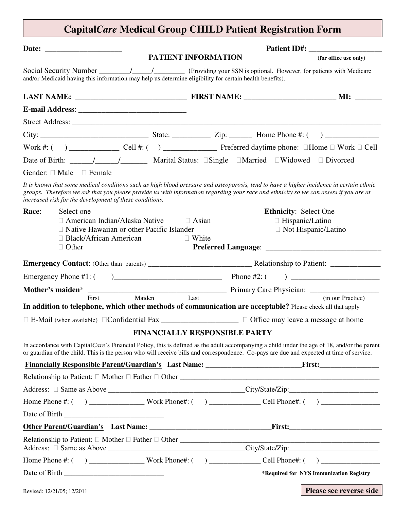# **Capital***Care* **Medical Group CHILD Patient Registration Form**

|                            |                                                                                                                                                         |  |  | PATIENT INFORMATION          |                                      |                                                        | (for office use only)                                                                                                                                                                                                                                                                   |  |  |
|----------------------------|---------------------------------------------------------------------------------------------------------------------------------------------------------|--|--|------------------------------|--------------------------------------|--------------------------------------------------------|-----------------------------------------------------------------------------------------------------------------------------------------------------------------------------------------------------------------------------------------------------------------------------------------|--|--|
|                            | and/or Medicaid having this information may help us determine eligibility for certain health benefits).                                                 |  |  |                              |                                      |                                                        |                                                                                                                                                                                                                                                                                         |  |  |
|                            |                                                                                                                                                         |  |  |                              |                                      |                                                        |                                                                                                                                                                                                                                                                                         |  |  |
|                            |                                                                                                                                                         |  |  |                              |                                      |                                                        |                                                                                                                                                                                                                                                                                         |  |  |
|                            |                                                                                                                                                         |  |  |                              |                                      |                                                        |                                                                                                                                                                                                                                                                                         |  |  |
|                            |                                                                                                                                                         |  |  |                              |                                      |                                                        |                                                                                                                                                                                                                                                                                         |  |  |
|                            |                                                                                                                                                         |  |  |                              |                                      |                                                        |                                                                                                                                                                                                                                                                                         |  |  |
|                            | Date of Birth: _____/_________/__________ Marital Status: □Single □Married □Widowed □Divorced                                                           |  |  |                              |                                      |                                                        |                                                                                                                                                                                                                                                                                         |  |  |
|                            | Gender: □ Male □ Female                                                                                                                                 |  |  |                              |                                      |                                                        |                                                                                                                                                                                                                                                                                         |  |  |
|                            | increased risk for the development of these conditions.                                                                                                 |  |  |                              |                                      |                                                        | It is known that some medical conditions such as high blood pressure and osteoporosis, tend to have a higher incidence in certain ethnic<br>groups. Therefore we ask that you please provide us with information regarding your race and ethnicity so we can assess if you are at       |  |  |
| Race:                      | Select one<br>$\Box$ American Indian/Alaska Native<br>$\Box$ Native Hawaiian or other Pacific Islander<br>$\Box$ Black/African American<br>$\Box$ Other |  |  | $\Box$ Asian<br>$\Box$ White |                                      | <b>Ethnicity: Select One</b><br>$\Box$ Hispanic/Latino | $\Box$ Not Hispanic/Latino                                                                                                                                                                                                                                                              |  |  |
|                            |                                                                                                                                                         |  |  |                              |                                      |                                                        |                                                                                                                                                                                                                                                                                         |  |  |
|                            | Emergency Phone #1: (                                                                                                                                   |  |  |                              |                                      |                                                        |                                                                                                                                                                                                                                                                                         |  |  |
|                            |                                                                                                                                                         |  |  |                              |                                      |                                                        |                                                                                                                                                                                                                                                                                         |  |  |
|                            | In addition to telephone, which other methods of communication are acceptable? Please check all that apply                                              |  |  |                              |                                      |                                                        | Mother's maiden*<br>First Maiden Last Primary Care Physician: (in our Practice)<br>(in our Practice)                                                                                                                                                                                    |  |  |
|                            |                                                                                                                                                         |  |  |                              |                                      |                                                        |                                                                                                                                                                                                                                                                                         |  |  |
|                            |                                                                                                                                                         |  |  |                              | <b>FINANCIALLY RESPONSIBLE PARTY</b> |                                                        |                                                                                                                                                                                                                                                                                         |  |  |
|                            |                                                                                                                                                         |  |  |                              |                                      |                                                        | In accordance with CapitalCare's Financial Policy, this is defined as the adult accompanying a child under the age of 18, and/or the parent<br>or guardian of the child. This is the person who will receive bills and correspondence. Co-pays are due and expected at time of service. |  |  |
|                            |                                                                                                                                                         |  |  |                              |                                      |                                                        |                                                                                                                                                                                                                                                                                         |  |  |
|                            |                                                                                                                                                         |  |  |                              |                                      |                                                        |                                                                                                                                                                                                                                                                                         |  |  |
|                            |                                                                                                                                                         |  |  |                              |                                      |                                                        |                                                                                                                                                                                                                                                                                         |  |  |
|                            |                                                                                                                                                         |  |  |                              |                                      |                                                        |                                                                                                                                                                                                                                                                                         |  |  |
|                            |                                                                                                                                                         |  |  |                              |                                      |                                                        |                                                                                                                                                                                                                                                                                         |  |  |
|                            |                                                                                                                                                         |  |  |                              |                                      |                                                        | <u>First:_________________________________</u>                                                                                                                                                                                                                                          |  |  |
|                            |                                                                                                                                                         |  |  |                              |                                      |                                                        | Relationship to Patient: $\Box$ Mother $\Box$ Father $\Box$ Other                                                                                                                                                                                                                       |  |  |
|                            |                                                                                                                                                         |  |  |                              |                                      |                                                        |                                                                                                                                                                                                                                                                                         |  |  |
|                            |                                                                                                                                                         |  |  |                              |                                      |                                                        | *Required for NYS Immunization Registry                                                                                                                                                                                                                                                 |  |  |
| Revised: 12/21/05; 12/2011 |                                                                                                                                                         |  |  |                              |                                      |                                                        | <b>Please see reverse side</b>                                                                                                                                                                                                                                                          |  |  |